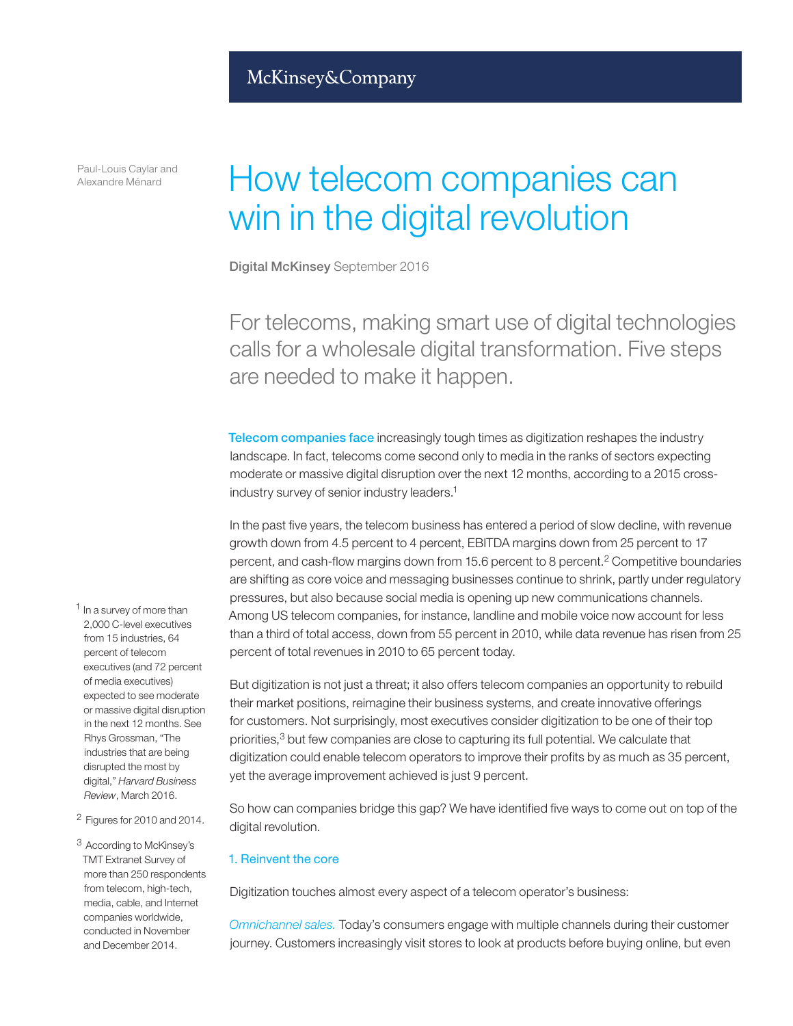Paul-Louis Caylar and Alexandre Ménard

# How telecom companies can win in the digital revolution

Digital McKinsey September 2016

For telecoms, making smart use of digital technologies calls for a wholesale digital transformation. Five steps are needed to make it happen.

Telecom companies face increasingly tough times as digitization reshapes the industry landscape. In fact, telecoms come second only to media in the ranks of sectors expecting moderate or massive digital disruption over the next 12 months, according to a 2015 crossindustry survey of senior industry leaders.1

In the past five years, the telecom business has entered a period of slow decline, with revenue growth down from 4.5 percent to 4 percent, EBITDA margins down from 25 percent to 17 percent, and cash-flow margins down from 15.6 percent to 8 percent.2 Competitive boundaries are shifting as core voice and messaging businesses continue to shrink, partly under regulatory pressures, but also because social media is opening up new communications channels. Among US telecom companies, for instance, landline and mobile voice now account for less than a third of total access, down from 55 percent in 2010, while data revenue has risen from 25 percent of total revenues in 2010 to 65 percent today.

But digitization is not just a threat; it also offers telecom companies an opportunity to rebuild their market positions, reimagine their business systems, and create innovative offerings for customers. Not surprisingly, most executives consider digitization to be one of their top priorities,<sup>3</sup> but few companies are close to capturing its full potential. We calculate that digitization could enable telecom operators to improve their profits by as much as 35 percent, yet the average improvement achieved is just 9 percent.

So how can companies bridge this gap? We have identified five ways to come out on top of the digital revolution.

### 1. Reinvent the core

Digitization touches almost every aspect of a telecom operator's business:

*Omnichannel sales.* Today's consumers engage with multiple channels during their customer journey. Customers increasingly visit stores to look at products before buying online, but even

- <sup>1</sup> In a survey of more than 2,000 C-level executives from 15 industries, 64 percent of telecom executives (and 72 percent of media executives) expected to see moderate or massive digital disruption in the next 12 months. See Rhys Grossman, "The industries that are being disrupted the most by digital," *Harvard Business Review*, March 2016.
- 2 Figures for 2010 and 2014.

3 According to McKinsey's TMT Extranet Survey of more than 250 respondents from telecom, high-tech, media, cable, and Internet companies worldwide, conducted in November and December 2014.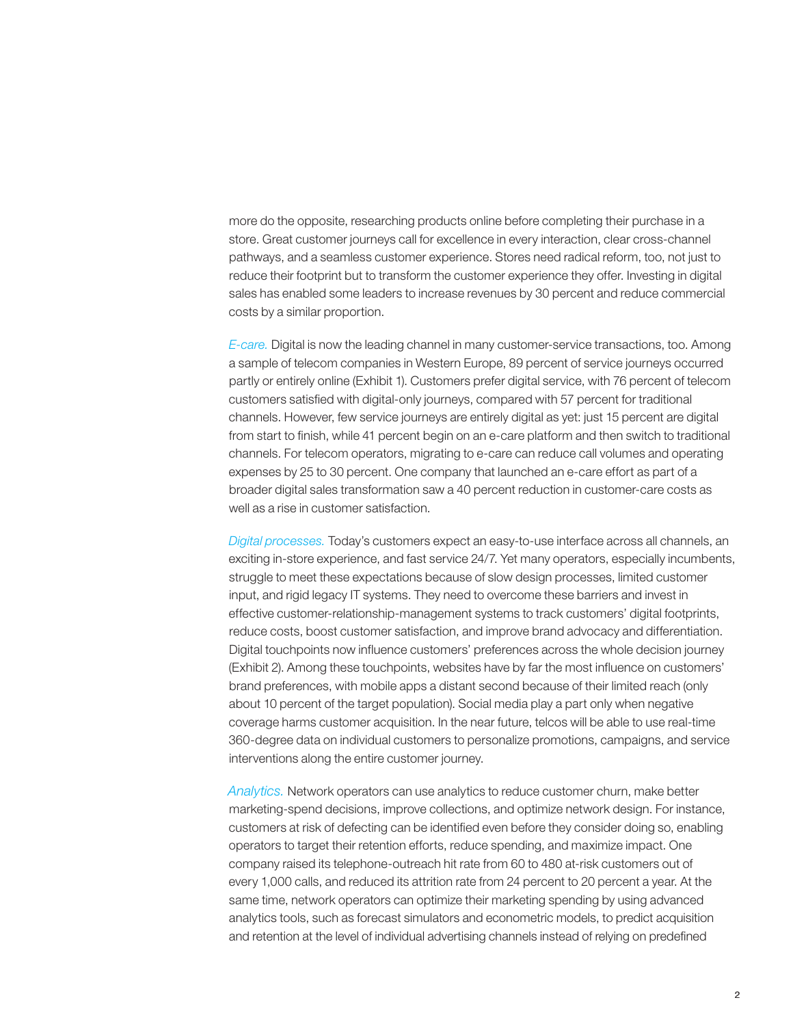more do the opposite, researching products online before completing their purchase in a store. Great customer journeys call for excellence in every interaction, clear cross-channel pathways, and a seamless customer experience. Stores need radical reform, too, not just to reduce their footprint but to transform the customer experience they offer. Investing in digital sales has enabled some leaders to increase revenues by 30 percent and reduce commercial costs by a similar proportion.

*E-care.* Digital is now the leading channel in many customer-service transactions, too. Among a sample of telecom companies in Western Europe, 89 percent of service journeys occurred partly or entirely online (Exhibit 1). Customers prefer digital service, with 76 percent of telecom customers satisfied with digital-only journeys, compared with 57 percent for traditional channels. However, few service journeys are entirely digital as yet: just 15 percent are digital from start to finish, while 41 percent begin on an e-care platform and then switch to traditional channels. For telecom operators, migrating to e-care can reduce call volumes and operating expenses by 25 to 30 percent. One company that launched an e-care effort as part of a broader digital sales transformation saw a 40 percent reduction in customer-care costs as well as a rise in customer satisfaction.

*Digital processes.* Today's customers expect an easy-to-use interface across all channels, an exciting in-store experience, and fast service 24/7. Yet many operators, especially incumbents, struggle to meet these expectations because of slow design processes, limited customer input, and rigid legacy IT systems. They need to overcome these barriers and invest in effective customer-relationship-management systems to track customers' digital footprints, reduce costs, boost customer satisfaction, and improve brand advocacy and differentiation. Digital touchpoints now influence customers' preferences across the whole decision journey (Exhibit 2). Among these touchpoints, websites have by far the most influence on customers' brand preferences, with mobile apps a distant second because of their limited reach (only about 10 percent of the target population). Social media play a part only when negative coverage harms customer acquisition. In the near future, telcos will be able to use real-time 360-degree data on individual customers to personalize promotions, campaigns, and service interventions along the entire customer journey.

*Analytics.* Network operators can use analytics to reduce customer churn, make better marketing-spend decisions, improve collections, and optimize network design. For instance, customers at risk of defecting can be identified even before they consider doing so, enabling operators to target their retention efforts, reduce spending, and maximize impact. One company raised its telephone-outreach hit rate from 60 to 480 at-risk customers out of every 1,000 calls, and reduced its attrition rate from 24 percent to 20 percent a year. At the same time, network operators can optimize their marketing spending by using advanced analytics tools, such as forecast simulators and econometric models, to predict acquisition and retention at the level of individual advertising channels instead of relying on predefined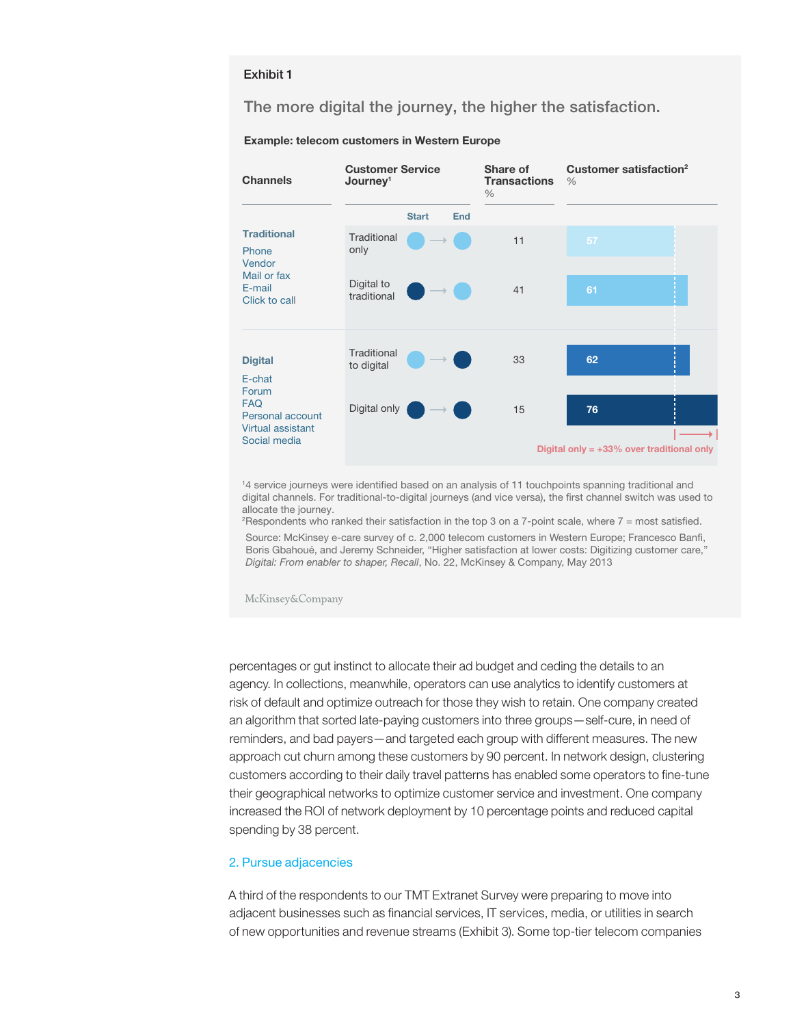#### Exhibit 1

## The more digital the journey, the higher the satisfaction.

#### Example: telecom customers in Western Europe



<sup>1</sup>4 service journeys were identified based on an analysis of 11 touchpoints spanning traditional and digital channels. For traditional-to-digital journeys (and vice versa), the first channel switch was used to allocate the journey.

Source: McKinsey e-care survey of c. 2,000 telecom customers in Western Europe: Francesco Banfi. Boris Gbahoué, and Jeremy Schneider, "Higher satisfaction at lower costs: Digitizing customer care," *Digital: From enabler to shaper, Recall*, No. 22, McKinsey & Company, May 2013 <sup>2</sup> Respondents who ranked their satisfaction in the top 3 on a 7-point scale, where 7 = most satisfied.

percentages or gut instinct to allocate their ad budget and ceding the details to an agency. In collections, meanwhile, operators can use analytics to identify customers at risk of default and optimize outreach for those they wish to retain. One company created an algorithm that sorted late-paying customers into three groups—self-cure, in need of reminders, and bad payers—and targeted each group with different measures. The new approach cut churn among these customers by 90 percent. In network design, clustering customers according to their daily travel patterns has enabled some operators to fine-tune their geographical networks to optimize customer service and investment. One company increased the ROI of network deployment by 10 percentage points and reduced capital spending by 38 percent.

#### 2. Pursue adjacencies

A third of the respondents to our TMT Extranet Survey were preparing to move into adjacent businesses such as financial services, IT services, media, or utilities in search of new opportunities and revenue streams (Exhibit 3). Some top-tier telecom companies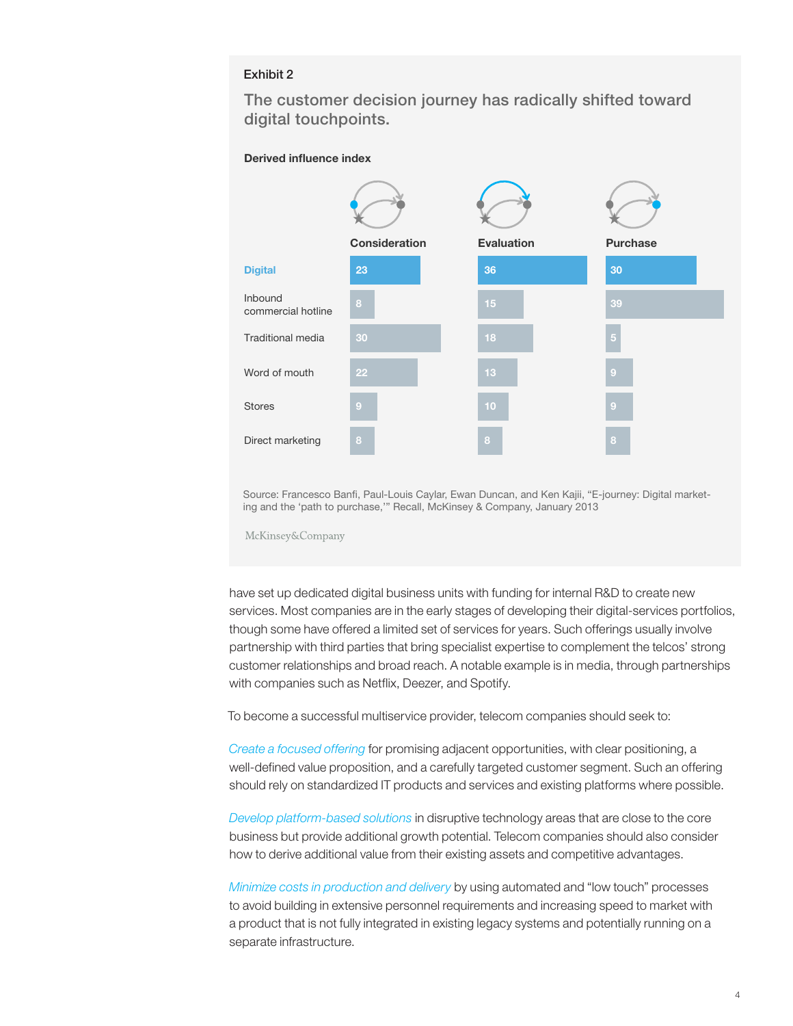# Exhibit 2

The customer decision journey has radically shifted toward digital touchpoints.

#### Derived influence index



Source: Francesco Banfi, Paul-Louis Caylar, Ewan Duncan, and Ken Kajii, "E-journey: Digital marketing and the 'path to purchase,'" Recall, McKinsey & Company, January 2013

McKinsey&Company

have set up dedicated digital business units with funding for internal R&D to create new services. Most companies are in the early stages of developing their digital-services portfolios, though some have offered a limited set of services for years. Such offerings usually involve partnership with third parties that bring specialist expertise to complement the telcos' strong customer relationships and broad reach. A notable example is in media, through partnerships with companies such as Netflix, Deezer, and Spotify.

To become a successful multiservice provider, telecom companies should seek to:

*Create a focused offering* for promising adjacent opportunities, with clear positioning, a well-defined value proposition, and a carefully targeted customer segment. Such an offering should rely on standardized IT products and services and existing platforms where possible.

*Develop platform-based solutions* in disruptive technology areas that are close to the core business but provide additional growth potential. Telecom companies should also consider how to derive additional value from their existing assets and competitive advantages.

*Minimize costs in production and delivery* by using automated and "low touch" processes to avoid building in extensive personnel requirements and increasing speed to market with a product that is not fully integrated in existing legacy systems and potentially running on a separate infrastructure.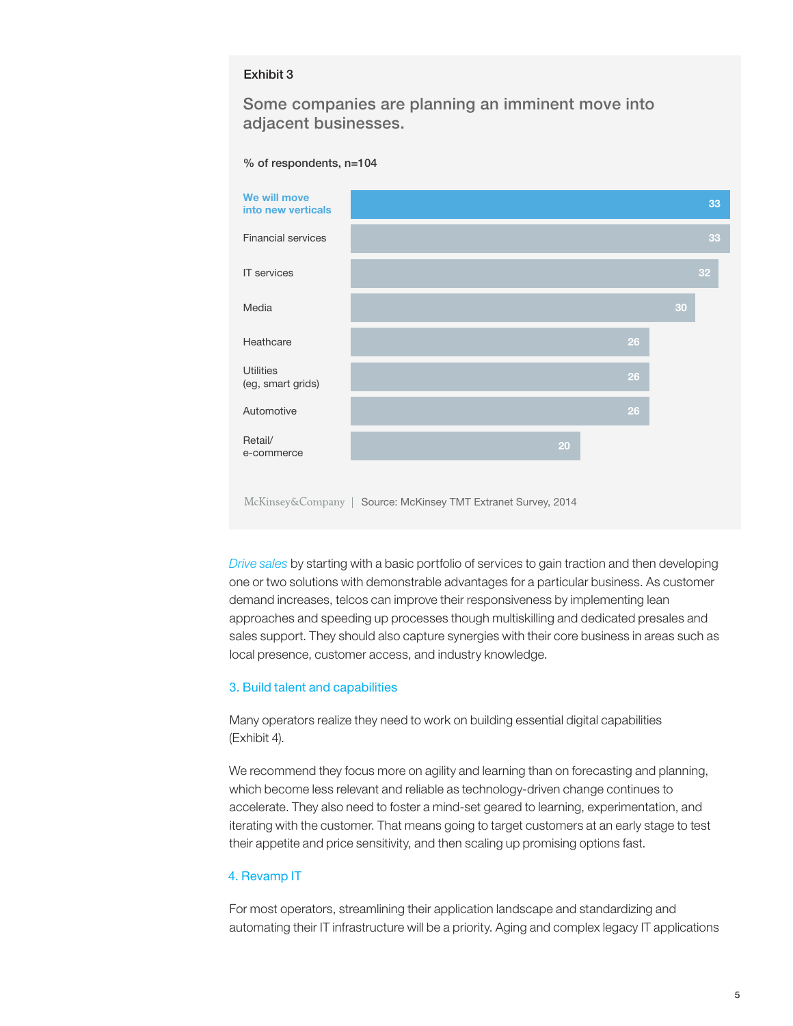#### Exhibit 3

Some companies are planning an imminent move into adjacent businesses.





*Drive sales* by starting with a basic portfolio of services to gain traction and then developing one or two solutions with demonstrable advantages for a particular business. As customer demand increases, telcos can improve their responsiveness by implementing lean approaches and speeding up processes though multiskilling and dedicated presales and sales support. They should also capture synergies with their core business in areas such as local presence, customer access, and industry knowledge.

#### 3. Build talent and capabilities

Many operators realize they need to work on building essential digital capabilities (Exhibit 4).

We recommend they focus more on agility and learning than on forecasting and planning, which become less relevant and reliable as technology-driven change continues to accelerate. They also need to foster a mind-set geared to learning, experimentation, and iterating with the customer. That means going to target customers at an early stage to test their appetite and price sensitivity, and then scaling up promising options fast.

#### 4. Revamp IT

For most operators, streamlining their application landscape and standardizing and automating their IT infrastructure will be a priority. Aging and complex legacy IT applications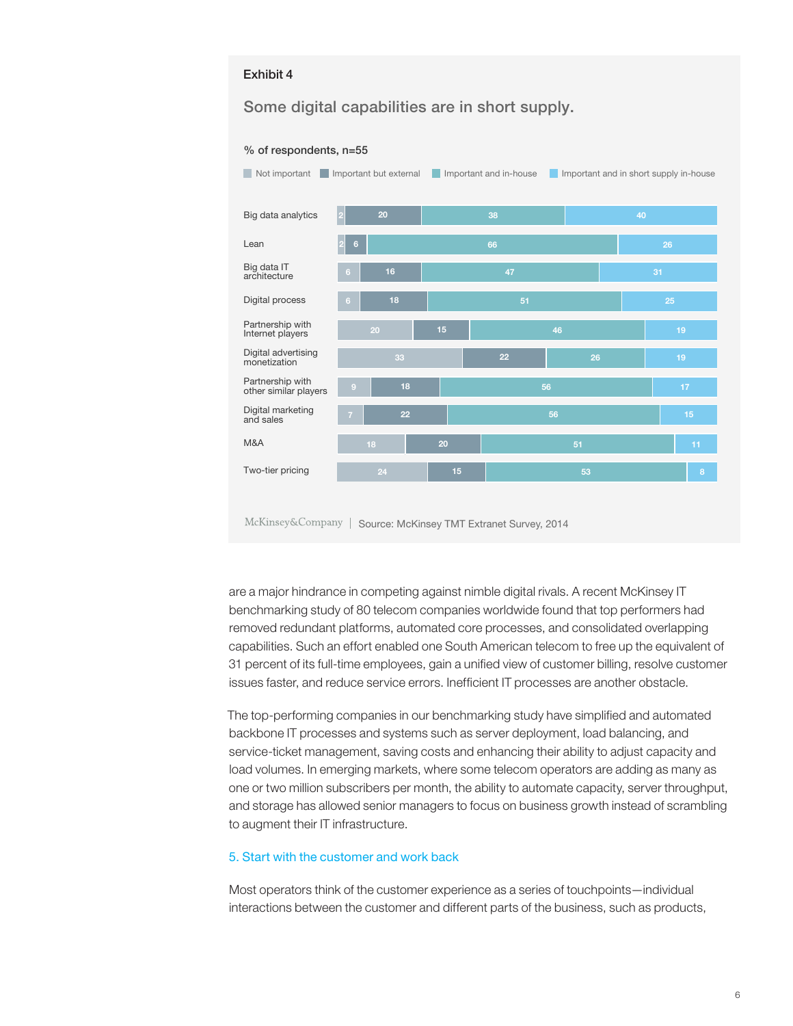#### Exhibit 4  $\mathsf{Exhibit}\,4$

Some digital capabilities are in short supply.





McKinsey&Company | Source: McKinsey TMT Extranet Survey, 2014

are a major hindrance in competing against nimble digital rivals. A recent McKinsey IT benchmarking study of 80 telecom companies worldwide found that top performers had removed redundant platforms, automated core processes, and consolidated overlapping capabilities. Such an effort enabled one South American telecom to free up the equivalent of 31 percent of its full-time employees, gain a unified view of customer billing, resolve customer issues faster, and reduce service errors. Inefficient IT processes are another obstacle.

The top-performing companies in our benchmarking study have simplified and automated backbone IT processes and systems such as server deployment, load balancing, and service-ticket management, saving costs and enhancing their ability to adjust capacity and load volumes. In emerging markets, where some telecom operators are adding as many as one or two million subscribers per month, the ability to automate capacity, server throughput, and storage has allowed senior managers to focus on business growth instead of scrambling to augment their IT infrastructure.

#### 5. Start with the customer and work back

Most operators think of the customer experience as a series of touchpoints—individual interactions between the customer and different parts of the business, such as products,